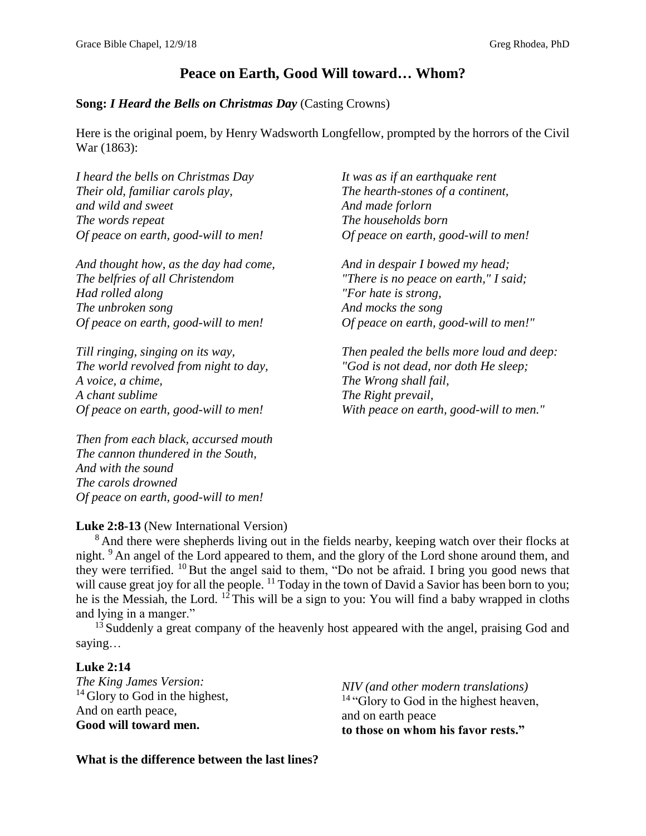# **Peace on Earth, Good Will toward… Whom?**

## **Song:** *I Heard the Bells on Christmas Day* (Casting Crowns)

Here is the original poem, by Henry Wadsworth Longfellow, prompted by the horrors of the Civil War (1863):

*I heard the bells on Christmas Day Their old, familiar carols play, and wild and sweet The words repeat Of peace on earth, good-will to men!*

*And thought how, as the day had come, The belfries of all Christendom Had rolled along The unbroken song Of peace on earth, good-will to men!*

*Till ringing, singing on its way, The world revolved from night to day, A voice, a chime, A chant sublime Of peace on earth, good-will to men!*

*Then from each black, accursed mouth The cannon thundered in the South, And with the sound The carols drowned Of peace on earth, good-will to men!*

*It was as if an earthquake rent The hearth-stones of a continent, And made forlorn The households born Of peace on earth, good-will to men!*

*And in despair I bowed my head; "There is no peace on earth," I said; "For hate is strong, And mocks the song Of peace on earth, good-will to men!"*

*Then pealed the bells more loud and deep: "God is not dead, nor doth He sleep; The Wrong shall fail, The Right prevail, With peace on earth, good-will to men."*

## **Luke 2:8-13** (New International Version)

<sup>8</sup> And there were shepherds living out in the fields nearby, keeping watch over their flocks at night. <sup>9</sup> An angel of the Lord appeared to them, and the glory of the Lord shone around them, and they were terrified. <sup>10</sup> But the angel said to them, "Do not be afraid. I bring you good news that will cause great joy for all the people. <sup>11</sup> Today in the town of David a Savior has been born to you; he is the Messiah, the Lord.  $12$  This will be a sign to you: You will find a baby wrapped in cloths and lying in a manger."

 $13$  Suddenly a great company of the heavenly host appeared with the angel, praising God and saying…

#### **Luke 2:14**

*The King James Version:*  $14$  Glory to God in the highest, And on earth peace, **Good will toward men.**

*NIV (and other modern translations)* <sup>14</sup> "Glory to God in the highest heaven, and on earth peace **to those on whom his favor rests."**

**What is the difference between the last lines?**